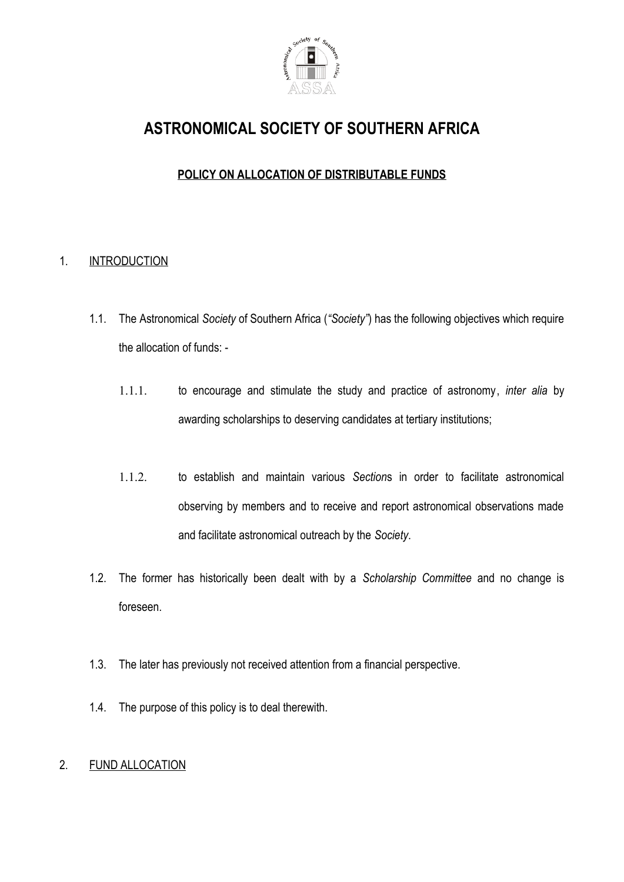

# **ASTRONOMICAL SOCIETY OF SOUTHERN AFRICA**

# **POLICY ON ALLOCATION OF DISTRIBUTABLE FUNDS**

### 1. INTRODUCTION

- 1.1. The Astronomical *Society* of Southern Africa (*"Society"*) has the following objectives which require the allocation of funds: -
	- 1.1.1. to encourage and stimulate the study and practice of astronomy, *inter alia* by awarding scholarships to deserving candidates at tertiary institutions;
	- 1.1.2. to establish and maintain various *Section*s in order to facilitate astronomical observing by members and to receive and report astronomical observations made and facilitate astronomical outreach by the *Society*.
- 1.2. The former has historically been dealt with by a *Scholarship Committee* and no change is foreseen.
- 1.3. The later has previously not received attention from a financial perspective.
- 1.4. The purpose of this policy is to deal therewith.

### 2. FUND ALLOCATION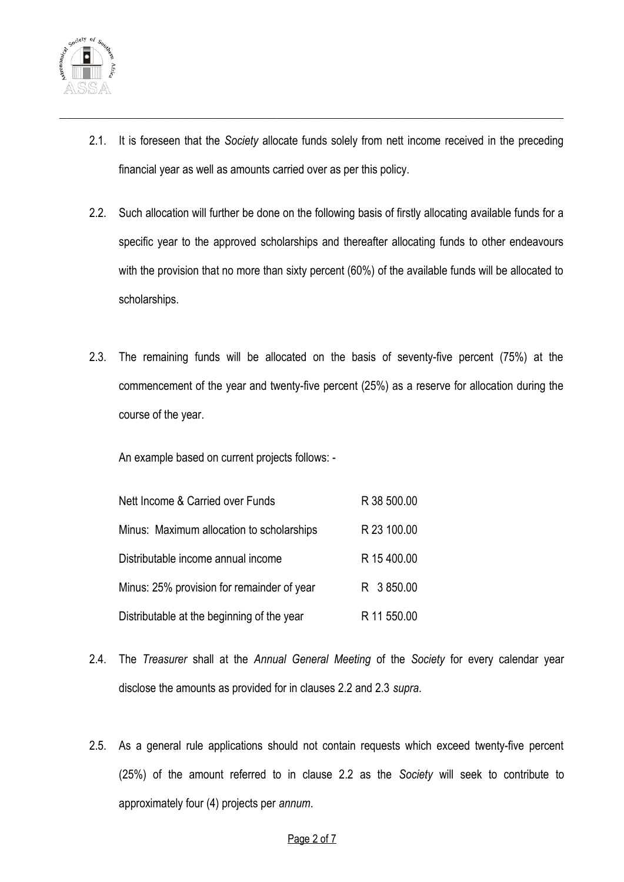

- 2.1. It is foreseen that the *Society* allocate funds solely from nett income received in the preceding financial year as well as amounts carried over as per this policy.
- 2.2. Such allocation will further be done on the following basis of firstly allocating available funds for a specific year to the approved scholarships and thereafter allocating funds to other endeavours with the provision that no more than sixty percent (60%) of the available funds will be allocated to scholarships.
- 2.3. The remaining funds will be allocated on the basis of seventy-five percent (75%) at the commencement of the year and twenty-five percent (25%) as a reserve for allocation during the course of the year.

An example based on current projects follows: -

| Nett Income & Carried over Funds           | R 38 500.00 |
|--------------------------------------------|-------------|
| Minus: Maximum allocation to scholarships  | R 23 100.00 |
| Distributable income annual income         | R 15 400.00 |
| Minus: 25% provision for remainder of year | R 3850.00   |
| Distributable at the beginning of the year | R 11 550.00 |

- 2.4. The *Treasurer* shall at the *Annual General Meeting* of the *Society* for every calendar year disclose the amounts as provided for in clauses 2.2 and 2.3 *supra*.
- 2.5. As a general rule applications should not contain requests which exceed twenty-five percent (25%) of the amount referred to in clause 2.2 as the *Society* will seek to contribute to approximately four (4) projects per *annum*.

#### Page 2 of 7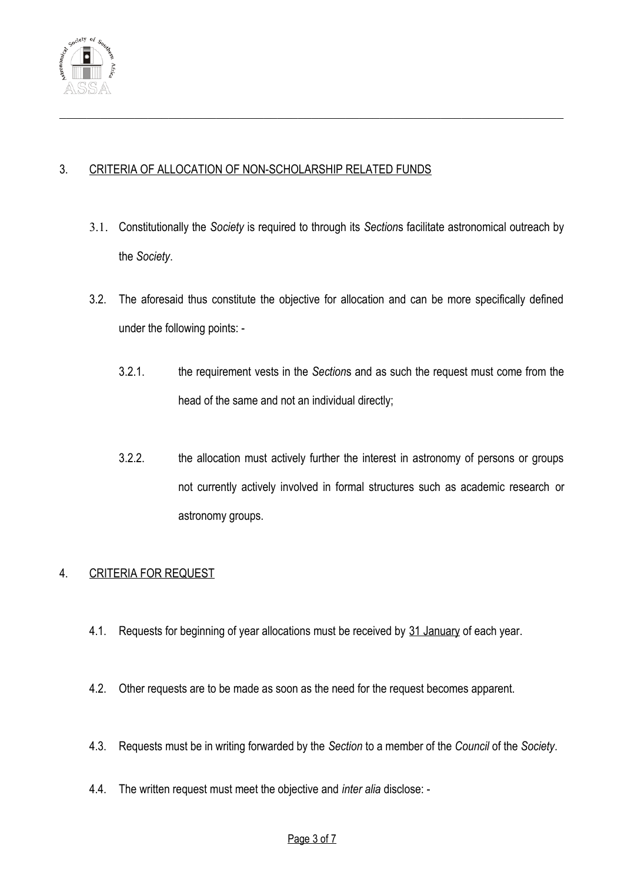

# 3. CRITERIA OF ALLOCATION OF NON-SCHOLARSHIP RELATED FUNDS

- 3.1. Constitutionally the *Society* is required to through its *Section*s facilitate astronomical outreach by the *Society*.
- 3.2. The aforesaid thus constitute the objective for allocation and can be more specifically defined under the following points: -
	- 3.2.1. the requirement vests in the *Section*s and as such the request must come from the head of the same and not an individual directly;
	- 3.2.2. the allocation must actively further the interest in astronomy of persons or groups not currently actively involved in formal structures such as academic research or astronomy groups.

# 4. CRITERIA FOR REQUEST

- 4.1. Requests for beginning of year allocations must be received by 31 January of each year.
- 4.2. Other requests are to be made as soon as the need for the request becomes apparent.
- 4.3. Requests must be in writing forwarded by the *Section* to a member of the *Council* of the *Society*.
- 4.4. The written request must meet the objective and *inter alia* disclose: -

#### Page 3 of 7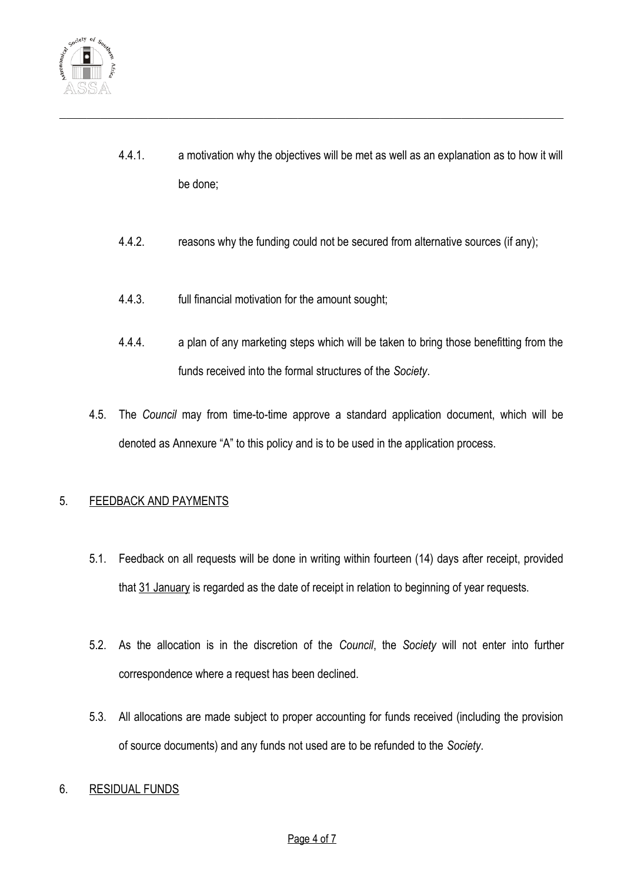

- 4.4.1. a motivation why the objectives will be met as well as an explanation as to how it will be done;
- 4.4.2. reasons why the funding could not be secured from alternative sources (if any);
- 4.4.3. full financial motivation for the amount sought;
- 4.4.4. a plan of any marketing steps which will be taken to bring those benefitting from the funds received into the formal structures of the *Society*.
- 4.5. The *Council* may from time-to-time approve a standard application document, which will be denoted as Annexure "A" to this policy and is to be used in the application process.

### 5. FEEDBACK AND PAYMENTS

- 5.1. Feedback on all requests will be done in writing within fourteen (14) days after receipt, provided that 31 January is regarded as the date of receipt in relation to beginning of year requests.
- 5.2. As the allocation is in the discretion of the *Council*, the *Society* will not enter into further correspondence where a request has been declined.
- 5.3. All allocations are made subject to proper accounting for funds received (including the provision of source documents) and any funds not used are to be refunded to the *Society*.
- 6. RESIDUAL FUNDS

#### Page 4 of 7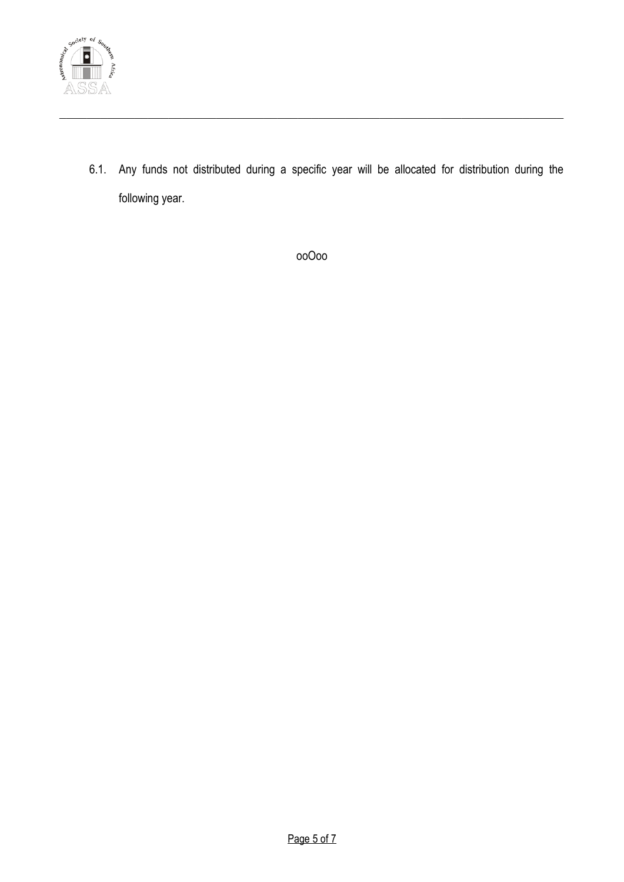

6.1. Any funds not distributed during a specific year will be allocated for distribution during the following year.

ooOoo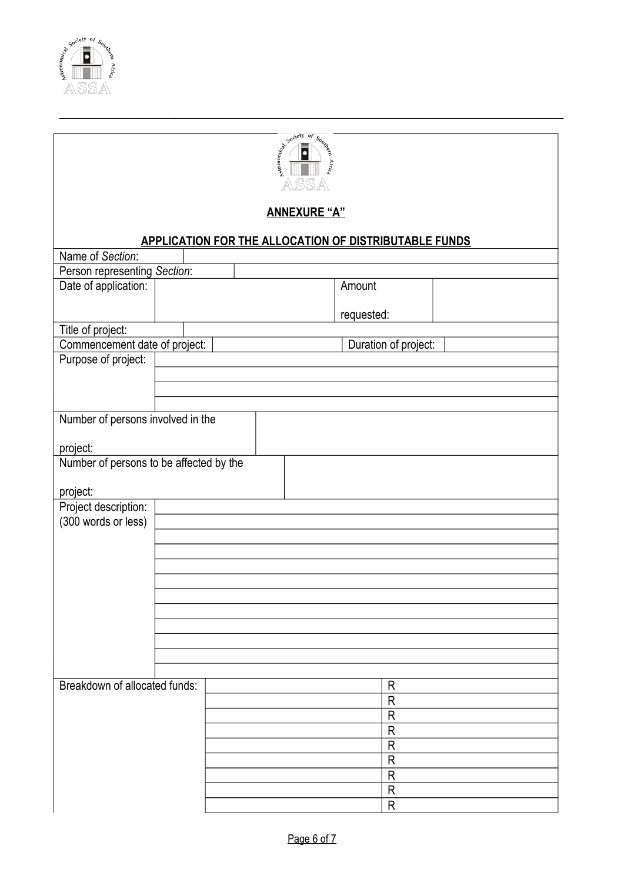



# **ANNEXURE "A"**

# **APPLICATION FOR THE ALLOCATION OF DISTRIBUTABLE FUNDS**

| Name of Section:                                   |  |  |  |  |            |                         |  |
|----------------------------------------------------|--|--|--|--|------------|-------------------------|--|
| Person representing Section:                       |  |  |  |  |            |                         |  |
| Date of application:                               |  |  |  |  | Amount     |                         |  |
|                                                    |  |  |  |  |            |                         |  |
|                                                    |  |  |  |  | requested: |                         |  |
| Title of project:<br>Commencement date of project: |  |  |  |  |            |                         |  |
| Purpose of project:                                |  |  |  |  |            | Duration of project:    |  |
|                                                    |  |  |  |  |            |                         |  |
|                                                    |  |  |  |  |            |                         |  |
|                                                    |  |  |  |  |            |                         |  |
| Number of persons involved in the                  |  |  |  |  |            |                         |  |
|                                                    |  |  |  |  |            |                         |  |
| project:                                           |  |  |  |  |            |                         |  |
| Number of persons to be affected by the            |  |  |  |  |            |                         |  |
|                                                    |  |  |  |  |            |                         |  |
| project:                                           |  |  |  |  |            |                         |  |
| Project description:                               |  |  |  |  |            |                         |  |
| (300 words or less)                                |  |  |  |  |            |                         |  |
|                                                    |  |  |  |  |            |                         |  |
|                                                    |  |  |  |  |            |                         |  |
|                                                    |  |  |  |  |            |                         |  |
|                                                    |  |  |  |  |            |                         |  |
|                                                    |  |  |  |  |            |                         |  |
|                                                    |  |  |  |  |            |                         |  |
|                                                    |  |  |  |  |            |                         |  |
|                                                    |  |  |  |  |            |                         |  |
|                                                    |  |  |  |  |            |                         |  |
| Breakdown of allocated funds:                      |  |  |  |  |            | $\mathsf{R}$            |  |
|                                                    |  |  |  |  |            | $\overline{\mathsf{R}}$ |  |
|                                                    |  |  |  |  |            | R                       |  |
|                                                    |  |  |  |  |            | $\mathsf{R}$            |  |
|                                                    |  |  |  |  |            | R                       |  |
|                                                    |  |  |  |  |            | $\overline{\mathsf{R}}$ |  |
|                                                    |  |  |  |  |            | R                       |  |
|                                                    |  |  |  |  |            | $\overline{R}$          |  |
|                                                    |  |  |  |  |            | $\overline{\mathsf{R}}$ |  |